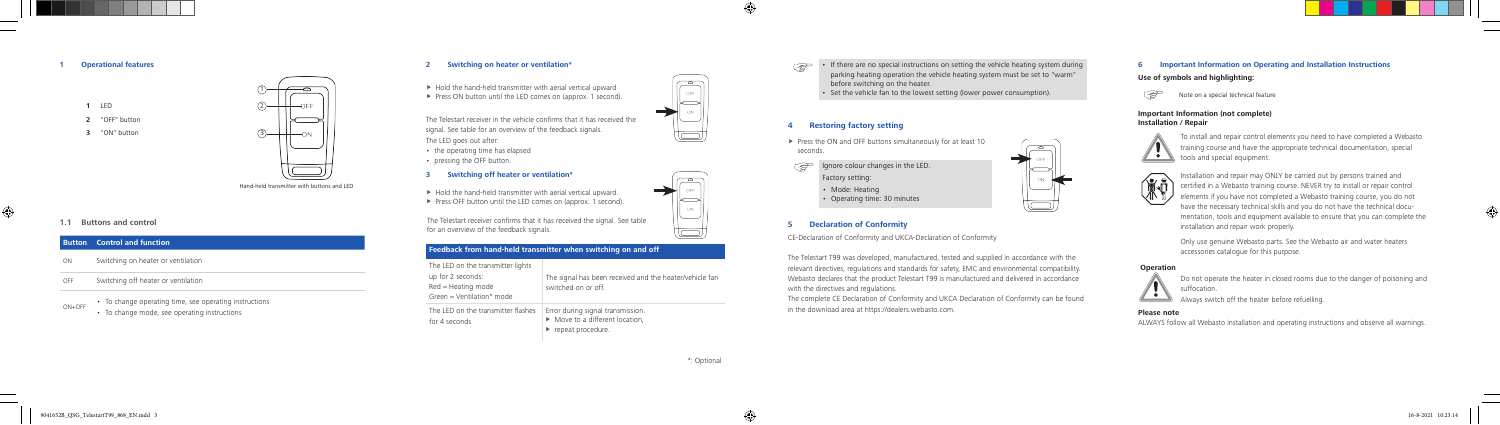**1 Operational features**

**1** LED

**1.1 Buttons and control**

 $\bigoplus$ 

#### **Button Control and function**

- ON Switching on heater or ventilation
- OFF Switching off heater or ventilation
- To change operating time, see operating instructions
	- To change mode, see operating instructions

Hand-held transmitter with buttons and LED

### **2 Switching on heater or ventilation\***

- $\blacktriangleright$  Hold the hand-held transmitter with aerial vertical upward
- ▶ Press ON button until the LED comes on (approx. 1 second).

The Telestart receiver in the vehicle confirms that it has received the signal. See table for an overview of the feedback signals. The LED goes out after:

- the operating time has elapsed
- pressing the OFF button.

#### **3 Switching off heater or ventilation\***

- $\blacktriangleright$  Hold the hand-held transmitter with aerial vertical upward.
- ▶ Press OFF button until the LED comes on (approx. 1 second).



## $\mathbb{R}^n$ before switching on the heater.

- $\blacktriangleright$  Press the ON and OFF buttons simultaneously for at least 10 seconds.
- $\mathbb{R}$ Ignore colour changes in the LED. Factory setting:
	- Mode: Heating
	- Operating time: 30 minutes

The Telestart receiver confirms that it has received the signal. See table for an overview of the feedback signals.

#### **Feedback from hand-held transmitter when switching on and off**

| The LED on the transmitter lights<br>up for 2 seconds:<br>Red = Heating mode<br>Green = Ventilation* mode | The signal has been received and the heater/vehicle fan<br>switched on or off.          |
|-----------------------------------------------------------------------------------------------------------|-----------------------------------------------------------------------------------------|
| The LED on the transmitter flashes<br>for 4 seconds                                                       | Error during signal transmission.<br>Move to a different location,<br>repeat procedure. |

• If there are no special instructions on setting the vehicle heating system during parking heating operation the vehicle heating system must be set to "warm"

Set the vehicle fan to the lowest setting (lower power consumption).



#### **4 Restoring factory setting**



#### **5 Declaration of Conformity**

CE-Declaration of Conformity and UKCA-Declaration of Conformity

The Telestart T99 was developed, manufactured, tested and supplied in accordance with the relevant directives, regulations and standards for safety, EMC and environmental compatibility. Webasto declares that the product Telestart T99 is manufactured and delivered in accordance with the directives and regulations. The complete CE Declaration of Conformity and UKCA Declaration of Conformity can be found in the download area at https://dealers.webasto.com.

#### **6 Important Information on Operating and Installation Instructions**

**Use of symbols and highlighting:**



Note on a special technical feature

#### **Important Information (not complete) Installation / Repair**



To install and repair control elements you need to have completed a Webasto training course and have the appropriate technical documentation, special tools and special equipment.



Installation and repair may ONLY be carried out by persons trained and certified in a Webasto training course. NEVER try to install or repair control elements if you have not completed a Webasto training course, you do not have the necessary technical skills and you do not have the technical documentation, tools and equipment available to ensure that you can complete the installation and repair work properly.

Only use genuine Webasto parts. See the Webasto air and water heaters accessories catalogue for this purpose.

#### **Operation**



Do not operate the heater in closed rooms due to the danger of poisoning and suffocation.

Always switch off the heater before refuelling.

#### **Please note**

ALWAYS follow all Webasto installation and operating instructions and observe all warnings.

\*: Optional